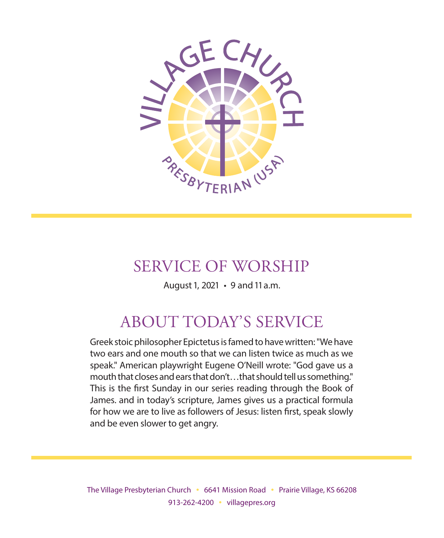

## SERVICE OF WORSHIP

August 1, 2021 • 9 and 11 a.m.

# ABOUT TODAY'S SERVICE

Greek stoic philosopher Epictetus is famed to have written: "We have two ears and one mouth so that we can listen twice as much as we speak." American playwright Eugene O'Neill wrote: "God gave us a mouth that closes and ears that don't…that should tell us something." This is the first Sunday in our series reading through the Book of James. and in today's scripture, James gives us a practical formula for how we are to live as followers of Jesus: listen first, speak slowly and be even slower to get angry.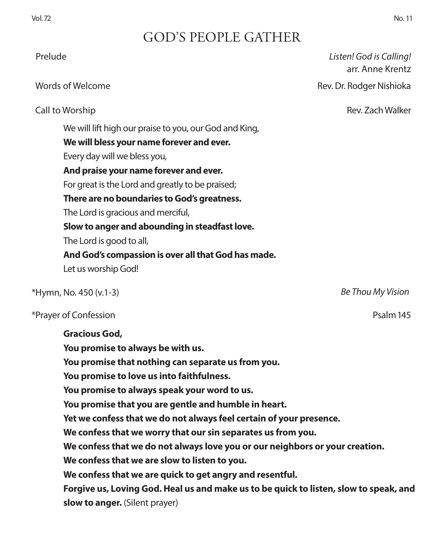## GOD'S PEOPLE GATHER

| Prelude                                                                                                                                                                                                                                                                                                                                                                                                                                                     | Listen! God is Calling!<br>arr. Anne Krentz |
|-------------------------------------------------------------------------------------------------------------------------------------------------------------------------------------------------------------------------------------------------------------------------------------------------------------------------------------------------------------------------------------------------------------------------------------------------------------|---------------------------------------------|
| Words of Welcome                                                                                                                                                                                                                                                                                                                                                                                                                                            | Rev. Dr. Rodger Nishioka                    |
| Call to Worship                                                                                                                                                                                                                                                                                                                                                                                                                                             | Rev. Zach Walker                            |
| We will lift high our praise to you, our God and King,<br>We will bless your name forever and ever.<br>Every day will we bless you,<br>And praise your name forever and ever.<br>For great is the Lord and greatly to be praised;<br>There are no boundaries to God's greatness.<br>The Lord is gracious and merciful,<br>Slow to anger and abounding in steadfast love.<br>The Lord is good to all,<br>And God's compassion is over all that God has made. |                                             |
| Let us worship God!                                                                                                                                                                                                                                                                                                                                                                                                                                         |                                             |
| *Hymn, No. 450 (v.1-3)                                                                                                                                                                                                                                                                                                                                                                                                                                      | Be Thou My Vision                           |
| *Prayer of Confession                                                                                                                                                                                                                                                                                                                                                                                                                                       | Psalm 145                                   |
| <b>Gracious God,</b><br>You promise to always be with us.<br>You promise that nothing can separate us from you.<br>You promise to love us into faithfulness.<br>You promise to always speak your word to us.                                                                                                                                                                                                                                                |                                             |

**You promise that you are gentle and humble in heart.**

**Yet we confess that we do not always feel certain of your presence.**

**We confess that we worry that our sin separates us from you.**

**We confess that we do not always love you or our neighbors or your creation.**

**We confess that we are slow to listen to you.**

**We confess that we are quick to get angry and resentful.**

**Forgive us, Loving God. Heal us and make us to be quick to listen, slow to speak, and slow to anger.** (Silent prayer)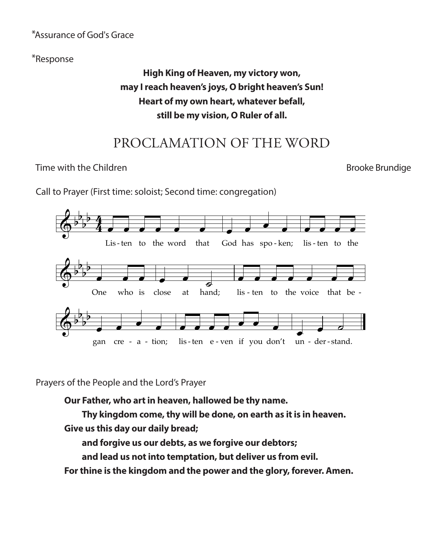## \*Assurance of God's Grace *daw k'yah*

\*Response & b

### High King of Heaven, my victory won, *m*ay I reach heaven's joys, O bright heaven's Sun! Heart of my own heart, whatever befall, still be my vision, O Ruler of all.

## PROCLAMATION OF THE WORD

Time with the Children Brooke Brundige Brooke Brundige with the Children to the Word That the Word That the Word That the Word That the Word That the Word That the Word That the Word That the Word That the Word That the Word That the Word That the Word That the Word That the W

Call to Prayer (First time: soloist; Second time: congregation)



Prayers of the People and the Lord's Prayer

Our Father, who art in heaven, hallowed be thy name.

**Thy kingdom come, thy will be done, on earth as it is in heaven. Give us this day our daily bread;**

**and forgive us our debts, as we forgive our debtors;**

**and lead us not into temptation, but deliver us from evil.** 5/13/13

**For thine is the kingdom and the power and the glory, forever. Amen.**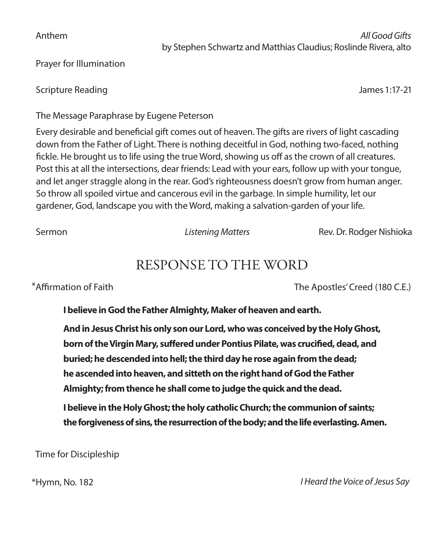Anthem *All Good Gifts* by Stephen Schwartz and Matthias Claudius; Roslinde Rivera, alto

Prayer for Illumination

Scripture Reading James 1:17-21

The Message Paraphrase by Eugene Peterson

Every desirable and beneficial gift comes out of heaven. The gifts are rivers of light cascading down from the Father of Light. There is nothing deceitful in God, nothing two-faced, nothing fickle. He brought us to life using the true Word, showing us off as the crown of all creatures. Post this at all the intersections, dear friends: Lead with your ears, follow up with your tongue, and let anger straggle along in the rear. God's righteousness doesn't grow from human anger. So throw all spoiled virtue and cancerous evil in the garbage. In simple humility, let our gardener, God, landscape you with the Word, making a salvation-garden of your life.

Sermon *Listening Matters* Rev. Dr. Rodger Nishioka

## RESPONSE TO THE WORD

\*Affirmation of Faith The Apostles' Creed (180 C.E.)

**I believe in God the Father Almighty, Maker of heaven and earth.**

**And in Jesus Christ his only son our Lord, who was conceived by the Holy Ghost, born of the Virgin Mary, suffered under Pontius Pilate, was crucified, dead, and buried; he descended into hell; the third day he rose again from the dead; he ascended into heaven, and sitteth on the right hand of God the Father Almighty; from thence he shall come to judge the quick and the dead.**

**I believe in the Holy Ghost; the holy catholic Church; the communion of saints; the forgiveness of sins, the resurrection of the body; and the life everlasting. Amen.**

Time for Discipleship

\*Hymn, No. 182 *I Heard the Voice of Jesus Say*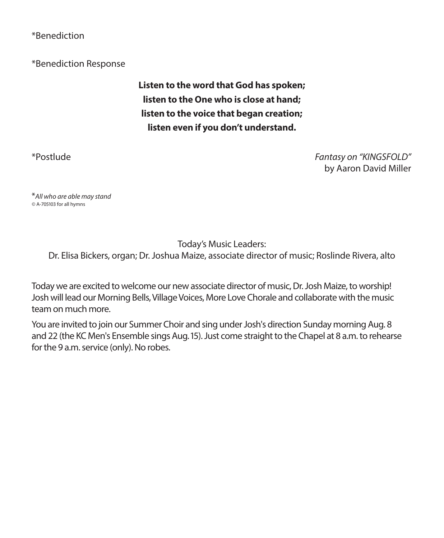#### \*Benediction

\*Benediction Response

**Listen to the word that God has spoken; listen to the One who is close at hand; listen to the voice that began creation; listen even if you don't understand.** 

\*Postlude *Fantasy on "KINGSFOLD"* by Aaron David Miller

\**All who are able may stand ©* A-705103 for all hymns

Today's Music Leaders:

Dr. Elisa Bickers, organ; Dr. Joshua Maize, associate director of music; Roslinde Rivera, alto

Today we are excited to welcome our new associate director of music, Dr. Josh Maize, to worship! Josh will lead our Morning Bells, Village Voices, More Love Chorale and collaborate with the music team on much more.

You are invited to join our Summer Choir and sing under Josh's direction Sunday morning Aug. 8 and 22 (the KC Men's Ensemble sings Aug. 15). Just come straight to the Chapel at 8 a.m. to rehearse for the 9 a.m. service (only). No robes.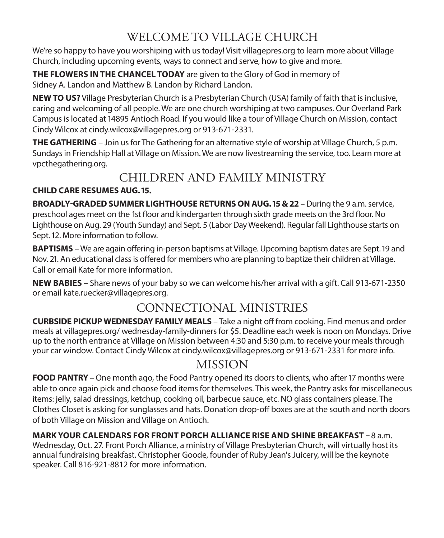## WELCOME TO VILLAGE CHURCH

We're so happy to have you worshiping with us today! Visit villagepres.org to learn more about Village Church, including upcoming events, ways to connect and serve, how to give and more.

**THE FLOWERS IN THE CHANCEL TODAY** are given to the Glory of God in memory of Sidney A. Landon and Matthew B. Landon by Richard Landon.

**NEW TO US?** Village Presbyterian Church is a Presbyterian Church (USA) family of faith that is inclusive, caring and welcoming of all people. We are one church worshiping at two campuses. Our Overland Park Campus is located at 14895 Antioch Road. If you would like a tour of Village Church on Mission, contact Cindy Wilcox at cindy.wilcox@villagepres.org or 913-671-2331.

**THE GATHERING** – Join us for The Gathering for an alternative style of worship at Village Church, 5 p.m. Sundays in Friendship Hall at Village on Mission. We are now livestreaming the service, too. Learn more at vpcthegathering.org.

### CHILDREN AND FAMILY MINISTRY

#### **CHILD CARE RESUMES AUG. 15.**

**BROADLY-GRADED SUMMER LIGHTHOUSE RETURNS ON AUG. 15 & 22** – During the 9 a.m. service, preschool ages meet on the 1st floor and kindergarten through sixth grade meets on the 3rd floor. No Lighthouse on Aug. 29 (Youth Sunday) and Sept. 5 (Labor Day Weekend). Regular fall Lighthouse starts on Sept. 12. More information to follow.

**BAPTISMS** – We are again offering in-person baptisms at Village. Upcoming baptism dates are Sept. 19 and Nov. 21. An educational class is offered for members who are planning to baptize their children at Village. Call or email Kate for more information.

**NEW BABIES** – Share news of your baby so we can welcome his/her arrival with a gift. Call 913-671-2350 or email kate.ruecker@villagepres.org.

## CONNECTIONAL MINISTRIES

**CURBSIDE PICKUP WEDNESDAY FAMILY MEALS** – Take a night off from cooking. Find menus and order meals at villagepres.org/ wednesday-family-dinners for \$5. Deadline each week is noon on Mondays. Drive up to the north entrance at Village on Mission between 4:30 and 5:30 p.m. to receive your meals through your car window. Contact Cindy Wilcox at cindy.wilcox@villagepres.org or 913-671-2331 for more info.

### MISSION

**FOOD PANTRY** – One month ago, the Food Pantry opened its doors to clients, who after 17 months were able to once again pick and choose food items for themselves. This week, the Pantry asks for miscellaneous items: jelly, salad dressings, ketchup, cooking oil, barbecue sauce, etc. NO glass containers please. The Clothes Closet is asking for sunglasses and hats. Donation drop-off boxes are at the south and north doors of both Village on Mission and Village on Antioch.

#### **MARK YOUR CALENDARS FOR FRONT PORCH ALLIANCE RISE AND SHINE BREAKFAST** – 8 a.m.

Wednesday, Oct. 27. Front Porch Alliance, a ministry of Village Presbyterian Church, will virtually host its annual fundraising breakfast. Christopher Goode, founder of Ruby Jean's Juicery, will be the keynote speaker. Call 816-921-8812 for more information.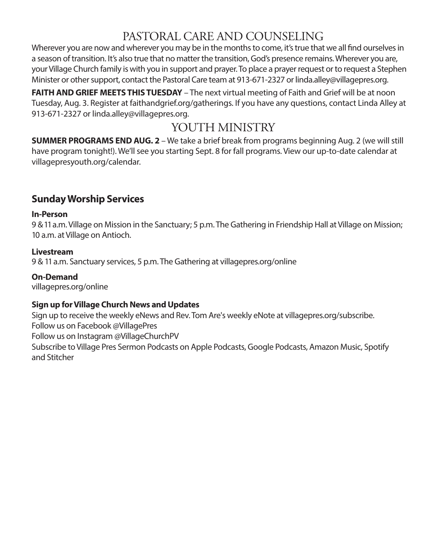## PASTORAL CARE AND COUNSELING

Wherever you are now and wherever you may be in the months to come, it's true that we all find ourselves in a season of transition. It's also true that no matter the transition, God's presence remains. Wherever you are, your Village Church family is with you in support and prayer. To place a prayer request or to request a Stephen Minister or other support, contact the Pastoral Care team at 913-671-2327 or linda.alley@villagepres.org.

**FAITH AND GRIEF MEETS THIS TUESDAY** – The next virtual meeting of Faith and Grief will be at noon Tuesday, Aug. 3. Register at faithandgrief.org/gatherings. If you have any questions, contact Linda Alley at 913-671-2327 or linda.alley@villagepres.org.

## YOUTH MINISTRY

**SUMMER PROGRAMS END AUG. 2** – We take a brief break from programs beginning Aug. 2 (we will still have program tonight!). We'll see you starting Sept. 8 for fall programs. View our up-to-date calendar at villagepresyouth.org/calendar.

### **Sunday Worship Services**

#### **In-Person**

9 & 11 a.m. Village on Mission in the Sanctuary; 5 p.m. The Gathering in Friendship Hall at Village on Mission; 10 a.m. at Village on Antioch.

#### **Livestream**

9 & 11 a.m. Sanctuary services, 5 p.m. The Gathering at villagepres.org/online

#### **On-Demand**

villagepres.org/online

#### **Sign up for Village Church News and Updates**

Sign up to receive the weekly eNews and Rev. Tom Are's weekly eNote at villagepres.org/subscribe. Follow us on Facebook @VillagePres Follow us on Instagram @VillageChurchPV Subscribe to Village Pres Sermon Podcasts on Apple Podcasts, Google Podcasts, Amazon Music, Spotify and Stitcher